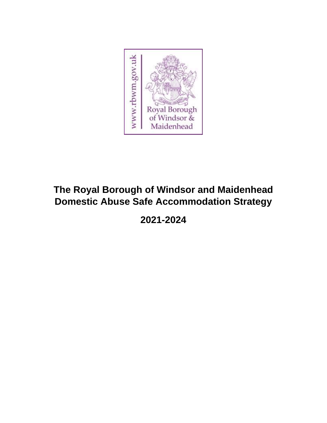

# **The Royal Borough of Windsor and Maidenhead Domestic Abuse Safe Accommodation Strategy**

**2021-2024**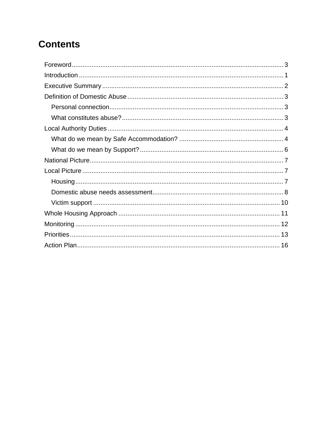# **Contents**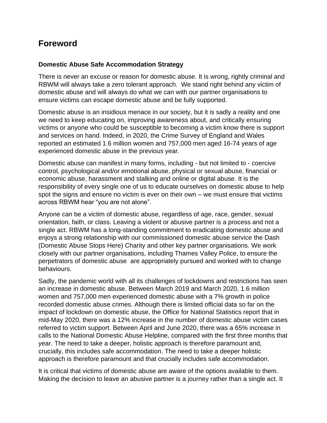### <span id="page-2-0"></span>**Foreword**

#### **Domestic Abuse Safe Accommodation Strategy**

There is never an excuse or reason for domestic abuse. It is wrong, rightly criminal and RBWM will always take a zero tolerant approach. We stand right behind any victim of domestic abuse and will always do what we can with our partner organisations to ensure victims can escape domestic abuse and be fully supported.

Domestic abuse is an insidious menace in our society, but it is sadly a reality and one we need to keep educating on, improving awareness about, and critically ensuring victims or anyone who could be susceptible to becoming a victim know there is support and services on hand. Indeed, in 2020, the Crime Survey of England and Wales reported an estimated 1.6 million women and 757,000 men aged 16-74 years of age experienced domestic abuse in the previous year.

Domestic abuse can manifest in many forms, including - but not limited to - coercive control, psychological and/or emotional abuse, physical or sexual abuse, financial or economic abuse, harassment and stalking and online or digital abuse. It is the responsibility of every single one of us to educate ourselves on domestic abuse to help spot the signs and ensure no victim is ever on their own – we must ensure that victims across RBWM hear "you are not alone".

Anyone can be a victim of domestic abuse, regardless of age, race, gender, sexual orientation, faith, or class. Leaving a violent or abusive partner is a process and not a single act. RBWM has a long-standing commitment to eradicating domestic abuse and enjoys a strong relationship with our commissioned domestic abuse service the Dash (Domestic Abuse Stops Here) Charity and other key partner organisations. We work closely with our partner organisations, including Thames Valley Police, to ensure the perpetrators of domestic abuse are appropriately pursued and worked with to change behaviours.

Sadly, the pandemic world with all its challenges of lockdowns and restrictions has seen an increase in domestic abuse. Between March 2019 and March 2020, 1.6 million women and 757,000 men experienced domestic abuse with a 7% growth in police recorded domestic abuse crimes. Although there is limited official data so far on the impact of lockdown on domestic abuse, the Office for National Statistics report that in mid-May 2020, there was a 12% increase in the number of domestic abuse victim cases referred to victim support. Between April and June 2020, there was a 65% increase in calls to the National Domestic Abuse Helpline, compared with the first three months that year. The need to take a deeper, holistic approach is therefore paramount and, crucially, this includes safe accommodation. The need to take a deeper holistic approach is therefore paramount and that crucially includes safe accommodation.

It is critical that victims of domestic abuse are aware of the options available to them. Making the decision to leave an abusive partner is a journey rather than a single act. It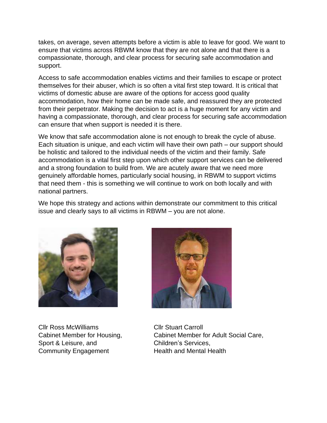takes, on average, seven attempts before a victim is able to leave for good. We want to ensure that victims across RBWM know that they are not alone and that there is a compassionate, thorough, and clear process for securing safe accommodation and support.

Access to safe accommodation enables victims and their families to escape or protect themselves for their abuser, which is so often a vital first step toward. It is critical that victims of domestic abuse are aware of the options for access good quality accommodation, how their home can be made safe, and reassured they are protected from their perpetrator. Making the decision to act is a huge moment for any victim and having a compassionate, thorough, and clear process for securing safe accommodation can ensure that when support is needed it is there.

We know that safe accommodation alone is not enough to break the cycle of abuse. Each situation is unique, and each victim will have their own path – our support should be holistic and tailored to the individual needs of the victim and their family. Safe accommodation is a vital first step upon which other support services can be delivered and a strong foundation to build from. We are acutely aware that we need more genuinely affordable homes, particularly social housing, in RBWM to support victims that need them - this is something we will continue to work on both locally and with national partners.

We hope this strategy and actions within demonstrate our commitment to this critical issue and clearly says to all victims in RBWM – you are not alone.



Cllr Ross McWilliams Cllr Stuart Carroll Sport & Leisure, and Children's Services, Community Engagement Health and Mental Health



Cabinet Member for Housing, Cabinet Member for Adult Social Care,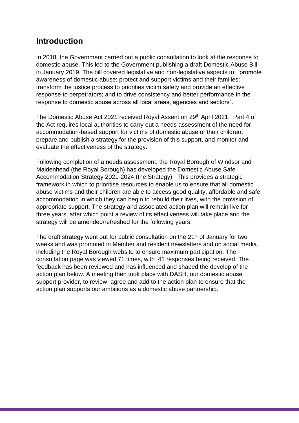### <span id="page-4-0"></span>**Introduction**

In 2018, the Government carried out a public consultation to look at the response to domestic abuse. This led to the Government publishing a draft Domestic Abuse Bill in January 2019. The bill covered legislative and non-legislative aspects to: "promote awareness of domestic abuse; protect and support victims and their families; transform the justice process to priorities victim safety and provide an effective response to perpetrators; and to drive consistency and better performance in the response to domestic abuse across all local areas, agencies and sectors".

The Domestic Abuse Act 2021 received Royal Assent on 29<sup>th</sup> April 2021. Part 4 of the Act requires local authorities to carry out a needs assessment of the need for accommodation-based support for victims of domestic abuse or their children, prepare and publish a strategy for the provision of this support, and monitor and evaluate the effectiveness of the strategy.

Following completion of a needs assessment, the Royal Borough of Windsor and Maidenhead (the Royal Borough) has developed the Domestic Abuse Safe Accommodation Strategy 2021-2024 (the Strategy). This provides a strategic framework in which to prioritise resources to enable us to ensure that all domestic abuse victims and their children are able to access good quality, affordable and safe accommodation in which they can begin to rebuild their lives, with the provision of appropriate support. The strategy and associated action plan will remain live for three years, after which point a review of its effectiveness will take place and the strategy will be amended/refreshed for the following years.

The draft strategy went out for public consultation on the 21<sup>st</sup> of January for two weeks and was promoted in Member and resident newsletters and on social media, including the Royal Borough website to ensure maximum participation. The consultation page was viewed 71 times, with 41 responses being received. The feedback has been reviewed and has influenced and shaped the develop of the action plan below. A meeting then took place with DASH, our domestic abuse support provider, to review, agree and add to the action plan to ensure that the action plan supports our ambitions as a domestic abuse partnership.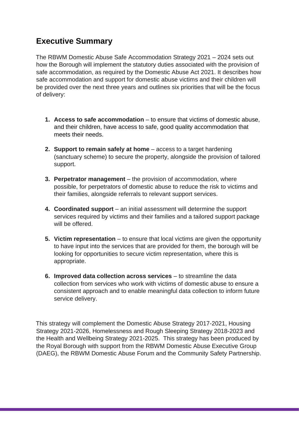## <span id="page-5-0"></span>**Executive Summary**

The RBWM Domestic Abuse Safe Accommodation Strategy 2021 – 2024 sets out how the Borough will implement the statutory duties associated with the provision of safe accommodation, as required by the Domestic Abuse Act 2021. It describes how safe accommodation and support for domestic abuse victims and their children will be provided over the next three years and outlines six priorities that will be the focus of delivery:

- **1. Access to safe accommodation** to ensure that victims of domestic abuse, and their children, have access to safe, good quality accommodation that meets their needs.
- **2. Support to remain safely at home** access to a target hardening (sanctuary scheme) to secure the property, alongside the provision of tailored support.
- **3. Perpetrator management** the provision of accommodation, where possible, for perpetrators of domestic abuse to reduce the risk to victims and their families, alongside referrals to relevant support services.
- **4. Coordinated support** an initial assessment will determine the support services required by victims and their families and a tailored support package will be offered.
- **5. Victim representation** to ensure that local victims are given the opportunity to have input into the services that are provided for them, the borough will be looking for opportunities to secure victim representation, where this is appropriate.
- **6. Improved data collection across services** to streamline the data collection from services who work with victims of domestic abuse to ensure a consistent approach and to enable meaningful data collection to inform future service delivery.

This strategy will complement the Domestic Abuse Strategy 2017-2021, Housing Strategy 2021-2026, Homelessness and Rough Sleeping Strategy 2018-2023 and the Health and Wellbeing Strategy 2021-2025. This strategy has been produced by the Royal Borough with support from the RBWM Domestic Abuse Executive Group (DAEG), the RBWM Domestic Abuse Forum and the Community Safety Partnership.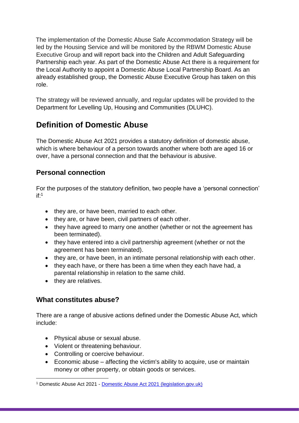The implementation of the Domestic Abuse Safe Accommodation Strategy will be led by the Housing Service and will be monitored by the RBWM Domestic Abuse Executive Group and will report back into the Children and Adult Safeguarding Partnership each year. As part of the Domestic Abuse Act there is a requirement for the Local Authority to appoint a Domestic Abuse Local Partnership Board. As an already established group, the Domestic Abuse Executive Group has taken on this role.

<span id="page-6-0"></span>The strategy will be reviewed annually, and regular updates will be provided to the Department for Levelling Up, Housing and Communities (DLUHC).

# **Definition of Domestic Abuse**

<span id="page-6-1"></span>The Domestic Abuse Act 2021 provides a statutory definition of domestic abuse, which is where behaviour of a person towards another where both are aged 16 or over, have a personal connection and that the behaviour is abusive.

### **Personal connection**

For the purposes of the statutory definition, two people have a 'personal connection' if: 1

- they are, or have been, married to each other.
- they are, or have been, civil partners of each other.
- they have agreed to marry one another (whether or not the agreement has been terminated).
- they have entered into a civil partnership agreement (whether or not the agreement has been terminated).
- they are, or have been, in an intimate personal relationship with each other.
- they each have, or there has been a time when they each have had, a parental relationship in relation to the same child.
- <span id="page-6-2"></span>• they are relatives.

### **What constitutes abuse?**

There are a range of abusive actions defined under the Domestic Abuse Act, which include:

- Physical abuse or sexual abuse.
- Violent or threatening behaviour.
- Controlling or coercive behaviour.
- $\bullet$  Economic abuse affecting the victim's ability to acquire, use or maintain money or other property, or obtain goods or services.

<sup>1</sup> Domestic Abuse Act 2021 - [Domestic Abuse Act 2021 \(legislation.gov.uk\)](https://www.legislation.gov.uk/ukpga/2021/17/contents/enacted)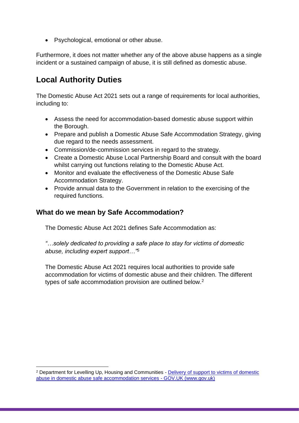• Psychological, emotional or other abuse.

<span id="page-7-0"></span>Furthermore, it does not matter whether any of the above abuse happens as a single incident or a sustained campaign of abuse, it is still defined as domestic abuse.

# **Local Authority Duties**

The Domestic Abuse Act 2021 sets out a range of requirements for local authorities, including to:

- Assess the need for accommodation-based domestic abuse support within the Borough.
- Prepare and publish a Domestic Abuse Safe Accommodation Strategy, giving due regard to the needs assessment.
- Commission/de-commission services in regard to the strategy.
- Create a Domestic Abuse Local Partnership Board and consult with the board whilst carrying out functions relating to the Domestic Abuse Act.
- Monitor and evaluate the effectiveness of the Domestic Abuse Safe Accommodation Strategy.
- <span id="page-7-1"></span>• Provide annual data to the Government in relation to the exercising of the required functions.

### **What do we mean by Safe Accommodation?**

The Domestic Abuse Act 2021 defines Safe Accommodation as:

*"…solely dedicated to providing a safe place to stay for victims of domestic abuse, including expert support…"<sup>5</sup>*

The Domestic Abuse Act 2021 requires local authorities to provide safe accommodation for victims of domestic abuse and their children. The different types of safe accommodation provision are outlined below.<sup>2</sup>

<sup>2</sup> Department for Levelling Up, Housing and Communities - [Delivery of support to victims of domestic](https://www.gov.uk/government/publications/domestic-abuse-support-within-safe-accommodation/delivery-of-support-to-victims-of-domestic-abuse-in-domestic-abuse-safe-accommodation-services)  [abuse in domestic abuse safe accommodation services -](https://www.gov.uk/government/publications/domestic-abuse-support-within-safe-accommodation/delivery-of-support-to-victims-of-domestic-abuse-in-domestic-abuse-safe-accommodation-services) GOV.UK (www.gov.uk)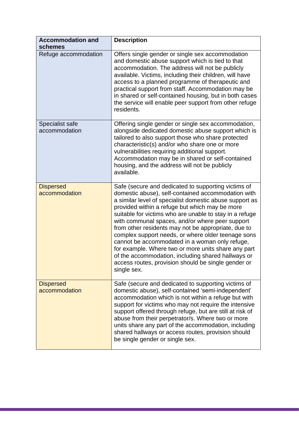| <b>Accommodation and</b><br>schemes | <b>Description</b>                                                                                                                                                                                                                                                                                                                                                                                                                                                                                                                                                                                                                                                                     |
|-------------------------------------|----------------------------------------------------------------------------------------------------------------------------------------------------------------------------------------------------------------------------------------------------------------------------------------------------------------------------------------------------------------------------------------------------------------------------------------------------------------------------------------------------------------------------------------------------------------------------------------------------------------------------------------------------------------------------------------|
| Refuge accommodation                | Offers single gender or single sex accommodation<br>and domestic abuse support which is tied to that<br>accommodation. The address will not be publicly<br>available. Victims, including their children, will have<br>access to a planned programme of therapeutic and<br>practical support from staff. Accommodation may be<br>in shared or self-contained housing, but in both cases<br>the service will enable peer support from other refuge<br>residents.                                                                                                                                                                                                                         |
| Specialist safe<br>accommodation    | Offering single gender or single sex accommodation,<br>alongside dedicated domestic abuse support which is<br>tailored to also support those who share protected<br>characteristic(s) and/or who share one or more<br>vulnerabilities requiring additional support.<br>Accommodation may be in shared or self-contained<br>housing, and the address will not be publicly<br>available.                                                                                                                                                                                                                                                                                                 |
| <b>Dispersed</b><br>accommodation   | Safe (secure and dedicated to supporting victims of<br>domestic abuse), self-contained accommodation with<br>a similar level of specialist domestic abuse support as<br>provided within a refuge but which may be more<br>suitable for victims who are unable to stay in a refuge<br>with communal spaces, and/or where peer support<br>from other residents may not be appropriate, due to<br>complex support needs, or where older teenage sons<br>cannot be accommodated in a woman only refuge,<br>for example. Where two or more units share any part<br>of the accommodation, including shared hallways or<br>access routes, provision should be single gender or<br>single sex. |
| <b>Dispersed</b><br>accommodation   | Safe (secure and dedicated to supporting victims of<br>domestic abuse), self-contained 'semi-independent'<br>accommodation which is not within a refuge but with<br>support for victims who may not require the intensive<br>support offered through refuge, but are still at risk of<br>abuse from their perpetrator/s. Where two or more<br>units share any part of the accommodation, including<br>shared hallways or access routes, provision should<br>be single gender or single sex.                                                                                                                                                                                            |

,我们也不会有什么。""我们的人,我们也不会有什么?""我们的人,我们也不会有什么?""我们的人,我们也不会有什么?""我们的人,我们也不会有什么?""我们的人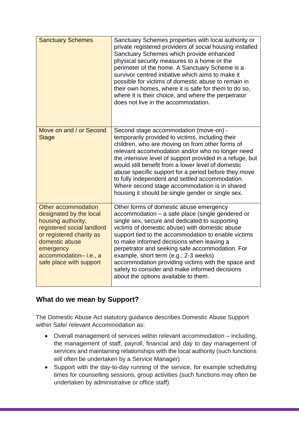| <b>Sanctuary Schemes</b>                                                                                                                                                                                          | Sanctuary Schemes properties with local authority or<br>private registered providers of social housing installed<br>Sanctuary Schemes which provide enhanced<br>physical security measures to a home or the<br>perimeter of the home. A Sanctuary Scheme is a<br>survivor centred initiative which aims to make it<br>possible for victims of domestic abuse to remain in<br>their own homes, where it is safe for them to do so,<br>where it is their choice, and where the perpetrator<br>does not live in the accommodation.                 |
|-------------------------------------------------------------------------------------------------------------------------------------------------------------------------------------------------------------------|-------------------------------------------------------------------------------------------------------------------------------------------------------------------------------------------------------------------------------------------------------------------------------------------------------------------------------------------------------------------------------------------------------------------------------------------------------------------------------------------------------------------------------------------------|
| Move on and / or Second<br><b>Stage</b>                                                                                                                                                                           | Second stage accommodation (move-on) -<br>temporarily provided to victims, including their<br>children, who are moving on from other forms of<br>relevant accommodation and/or who no longer need<br>the intensive level of support provided in a refuge, but<br>would still benefit from a lower level of domestic<br>abuse specific support for a period before they move<br>to fully independent and settled accommodation.<br>Where second stage accommodation is in shared<br>housing it should be single gender or single sex.            |
| Other accommodation<br>designated by the local<br>housing authority,<br>registered social landlord<br>or registered charity as<br>domestic abuse<br>emergency<br>accommodation-i.e., a<br>safe place with support | Other forms of domestic abuse emergency<br>accommodation - a safe place (single gendered or<br>single sex, secure and dedicated to supporting<br>victims of domestic abuse) with domestic abuse<br>support tied to the accommodation to enable victims<br>to make informed decisions when leaving a<br>perpetrator and seeking safe accommodation. For<br>example, short term (e.g., 2-3 weeks)<br>accommodation providing victims with the space and<br>safety to consider and make informed decisions<br>about the options available to them. |

### <span id="page-9-0"></span>**What do we mean by Support?**

The Domestic Abuse Act statutory guidance describes Domestic Abuse Support within Safe/ relevant Accommodation as:

- Overall management of services within relevant accommodation including, the management of staff, payroll, financial and day to day management of services and maintaining relationships with the local authority (such functions will often be undertaken by a Service Manager)
- Support with the day-to-day running of the service, for example scheduling times for counselling sessions, group activities (such functions may often be undertaken by administrative or office staff)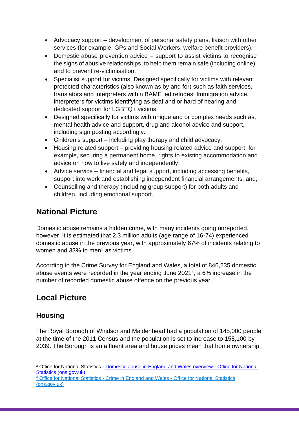- Advocacy support development of personal safety plans, liaison with other services (for example, GPs and Social Workers, welfare benefit providers).
- Domestic abuse prevention advice support to assist victims to recognise the signs of abusive relationships, to help them remain safe (including online), and to prevent re-victimisation.
- Specialist support for victims. Designed specifically for victims with relevant protected characteristics (also known as by and for) such as faith services, translators and interpreters within BAME led refuges. Immigration advice, interpreters for victims identifying as deaf and or hard of hearing and dedicated support for LGBTQ+ victims.
- Designed specifically for victims with unique and or complex needs such as, mental health advice and support, drug and alcohol advice and support, including sign posting accordingly.
- Children's support including play therapy and child advocacy.
- Housing-related support providing housing-related advice and support, for example, securing a permanent home, rights to existing accommodation and advice on how to live safely and independently.
- Advice service financial and legal support, including accessing benefits, support into work and establishing independent financial arrangements; and,
- <span id="page-10-0"></span>• Counselling and therapy (including group support) for both adults and children, including emotional support.

# **National Picture**

Domestic abuse remains a hidden crime, with many incidents going unreported, however, it is estimated that 2.3 million adults (age range of 16-74) experienced domestic abuse in the previous year, with approximately 67% of incidents relating to women and 33% to men<sup>3</sup> as victims.

<span id="page-10-1"></span>According to the Crime Survey for England and Wales, a total of 846,235 domestic abuse events were recorded in the year ending June 2021<sup>4</sup>, a 6% increase in the number of recorded domestic abuse offence on the previous year.

# <span id="page-10-2"></span>**Local Picture**

### **Housing**

The Royal Borough of Windsor and Maidenhead had a population of 145,000 people at the time of the 2011 Census and the population is set to increase to 158,100 by 2039. The Borough is an affluent area and house prices mean that home ownership

<sup>3</sup> Office for National Statistics - [Domestic abuse in England and Wales overview -](https://www.ons.gov.uk/peoplepopulationandcommunity/crimeandjustice/bulletins/domesticabuseinenglandandwalesoverview/november2020) Office for National [Statistics \(ons.gov.uk\)](https://www.ons.gov.uk/peoplepopulationandcommunity/crimeandjustice/bulletins/domesticabuseinenglandandwalesoverview/november2020)

<sup>4</sup> Office for National Statistics - [Crime in England and Wales -](https://www.ons.gov.uk/peoplepopulationandcommunity/crimeandjustice/bulletins/crimeinenglandandwales/yearendingjune2021) Office for National Statistics [\(ons.gov.uk\)](https://www.ons.gov.uk/peoplepopulationandcommunity/crimeandjustice/bulletins/crimeinenglandandwales/yearendingjune2021)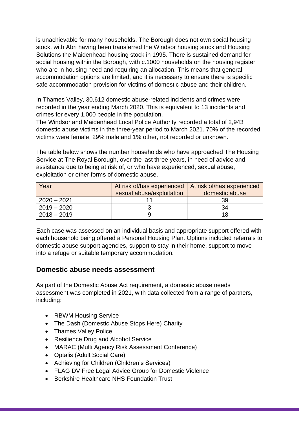is unachievable for many households. The Borough does not own social housing stock, with Abri having been transferred the Windsor housing stock and Housing Solutions the Maidenhead housing stock in 1995. There is sustained demand for social housing within the Borough, with c.1000 households on the housing register who are in housing need and requiring an allocation. This means that general accommodation options are limited, and it is necessary to ensure there is specific safe accommodation provision for victims of domestic abuse and their children.

In Thames Valley, 30,612 domestic abuse-related incidents and crimes were recorded in the year ending March 2020. This is equivalent to 13 incidents and crimes for every 1,000 people in the population.

The Windsor and Maidenhead Local Police Authority recorded a total of 2,943 domestic abuse victims in the three-year period to March 2021. 70% of the recorded victims were female, 29% male and 1% other, not recorded or unknown.

The table below shows the number households who have approached The Housing Service at The Royal Borough, over the last three years, in need of advice and assistance due to being at risk of, or who have experienced, sexual abuse, exploitation or other forms of domestic abuse.

| Year          | At risk of/has experienced   At risk of/has experienced |                |
|---------------|---------------------------------------------------------|----------------|
|               | sexual abuse/exploitation                               | domestic abuse |
| $2020 - 2021$ |                                                         | 39             |
| $2019 - 2020$ |                                                         | 34             |
| $2018 - 2019$ |                                                         | 18             |

<span id="page-11-0"></span>Each case was assessed on an individual basis and appropriate support offered with each household being offered a Personal Housing Plan. Options included referrals to domestic abuse support agencies, support to stay in their home, support to move into a refuge or suitable temporary accommodation.

#### **Domestic abuse needs assessment**

As part of the Domestic Abuse Act requirement, a domestic abuse needs assessment was completed in 2021, with data collected from a range of partners, including:

- RBWM Housing Service
- The Dash (Domestic Abuse Stops Here) Charity
- Thames Valley Police
- Resilience Drug and Alcohol Service
- MARAC (Multi Agency Risk Assessment Conference)
- Optalis (Adult Social Care)
- Achieving for Children (Children's Services)
- FLAG DV Free Legal Advice Group for Domestic Violence
- Berkshire Healthcare NHS Foundation Trust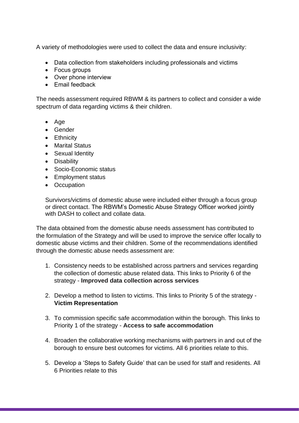A variety of methodologies were used to collect the data and ensure inclusivity:

- Data collection from stakeholders including professionals and victims
- Focus groups
- Over phone interview
- Email feedback

The needs assessment required RBWM & its partners to collect and consider a wide spectrum of data regarding victims & their children.

- Age
- Gender
- Ethnicity
- Marital Status
- Sexual Identity
- Disability
- Socio-Economic status
- Employment status
- Occupation

Survivors/victims of domestic abuse were included either through a focus group or direct contact. The RBWM's Domestic Abuse Strategy Officer worked jointly with DASH to collect and collate data.

The data obtained from the domestic abuse needs assessment has contributed to the formulation of the Strategy and will be used to improve the service offer locally to domestic abuse victims and their children. Some of the recommendations identified through the domestic abuse needs assessment are:

- 1. Consistency needs to be established across partners and services regarding the collection of domestic abuse related data. This links to Priority 6 of the strategy - **Improved data collection across services**
- 2. Develop a method to listen to victims. This links to Priority 5 of the strategy **Victim Representation**
- 3. To commission specific safe accommodation within the borough. This links to Priority 1 of the strategy - **Access to safe accommodation**
- 4. Broaden the collaborative working mechanisms with partners in and out of the borough to ensure best outcomes for victims. All 6 priorities relate to this.
- 5. Develop a 'Steps to Safety Guide' that can be used for staff and residents. All 6 Priorities relate to this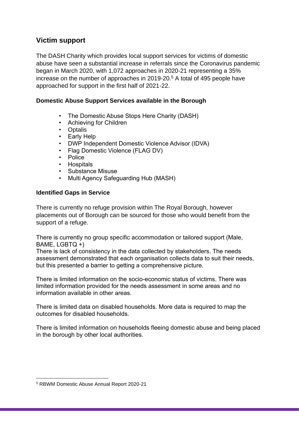### <span id="page-13-0"></span>**Victim support**

The DASH Charity which provides local support services for victims of domestic abuse have seen a substantial increase in referrals since the Coronavirus pandemic began in March 2020, with 1,072 approaches in 2020-21 representing a 35% increase on the number of approaches in 2019-20. <sup>5</sup> A total of 495 people have approached for support in the first half of 2021-22.

#### **Domestic Abuse Support Services available in the Borough**

- The Domestic Abuse Stops Here Charity (DASH)
- Achieving for Children
- Optalis
- Early Help
- DWP Independent Domestic Violence Advisor (IDVA)
- Flag Domestic Violence (FLAG DV)
- Police
- Hospitals
- Substance Misuse
- Multi Agency Safeguarding Hub (MASH)

#### **Identified Gaps in Service**

There is currently no refuge provision within The Royal Borough, however placements out of Borough can be sourced for those who would benefit from the support of a refuge.

There is currently no group specific accommodation or tailored support (Male, BAME, LGBTQ +)

There is lack of consistency in the data collected by stakeholders. The needs assessment demonstrated that each organisation collects data to suit their needs, but this presented a barrier to getting a comprehensive picture.

There is limited information on the socio-economic status of victims. There was limited information provided for the needs assessment in some areas and no information available in other areas.

There is limited data on disabled households. More data is required to map the outcomes for disabled households.

There is limited information on households fleeing domestic abuse and being placed in the borough by other local authorities.

<sup>5</sup> RBWM Domestic Abuse Annual Report 2020-21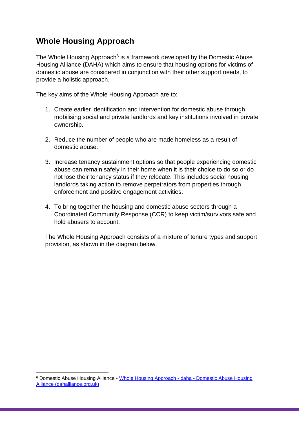### <span id="page-14-0"></span>**Whole Housing Approach**

The Whole Housing Approach<sup>6</sup> is a framework developed by the Domestic Abuse Housing Alliance (DAHA) which aims to ensure that housing options for victims of domestic abuse are considered in conjunction with their other support needs, to provide a holistic approach.

The key aims of the Whole Housing Approach are to:

- 1. Create earlier identification and intervention for domestic abuse through mobilising social and private landlords and key institutions involved in private ownership.
- 2. Reduce the number of people who are made homeless as a result of domestic abuse.
- 3. Increase tenancy sustainment options so that people experiencing domestic abuse can remain safely in their home when it is their choice to do so or do not lose their tenancy status if they relocate. This includes social housing landlords taking action to remove perpetrators from properties through enforcement and positive engagement activities.
- 4. To bring together the housing and domestic abuse sectors through a Coordinated Community Response (CCR) to keep victim/survivors safe and hold abusers to account.

The Whole Housing Approach consists of a mixture of tenure types and support provision, as shown in the diagram below.

<sup>6</sup> Domestic Abuse Housing Alliance - [Whole Housing Approach -](https://www.dahalliance.org.uk/what-we-do/whole-housing-approach/) daha - Domestic Abuse Housing [Alliance \(dahalliance.org.uk\)](https://www.dahalliance.org.uk/what-we-do/whole-housing-approach/)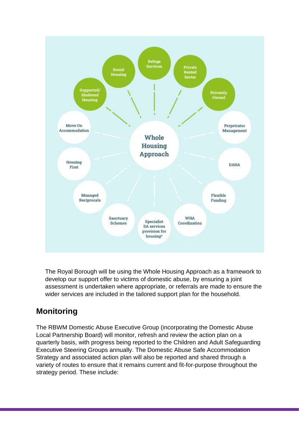

<span id="page-15-0"></span>The Royal Borough will be using the Whole Housing Approach as a framework to develop our support offer to victims of domestic abuse, by ensuring a joint assessment is undertaken where appropriate, or referrals are made to ensure the wider services are included in the tailored support plan for the household.

# **Monitoring**

The RBWM Domestic Abuse Executive Group (incorporating the Domestic Abuse Local Partnership Board) will monitor, refresh and review the action plan on a quarterly basis, with progress being reported to the Children and Adult Safeguarding Executive Steering Groups annually. The Domestic Abuse Safe Accommodation Strategy and associated action plan will also be reported and shared through a variety of routes to ensure that it remains current and fit-for-purpose throughout the strategy period. These include: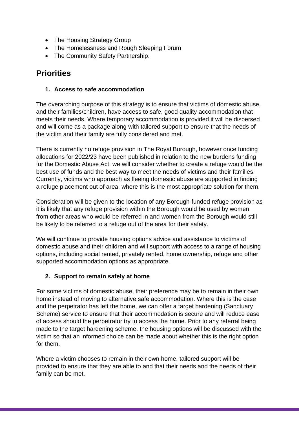- The Housing Strategy Group
- <span id="page-16-0"></span>• The Homelessness and Rough Sleeping Forum
- The Community Safety Partnership.

### **Priorities**

#### **1. Access to safe accommodation**

The overarching purpose of this strategy is to ensure that victims of domestic abuse, and their families/children, have access to safe, good quality accommodation that meets their needs. Where temporary accommodation is provided it will be dispersed and will come as a package along with tailored support to ensure that the needs of the victim and their family are fully considered and met.

There is currently no refuge provision in The Royal Borough, however once funding allocations for 2022/23 have been published in relation to the new burdens funding for the Domestic Abuse Act, we will consider whether to create a refuge would be the best use of funds and the best way to meet the needs of victims and their families. Currently, victims who approach as fleeing domestic abuse are supported in finding a refuge placement out of area, where this is the most appropriate solution for them.

Consideration will be given to the location of any Borough-funded refuge provision as it is likely that any refuge provision within the Borough would be used by women from other areas who would be referred in and women from the Borough would still be likely to be referred to a refuge out of the area for their safety.

We will continue to provide housing options advice and assistance to victims of domestic abuse and their children and will support with access to a range of housing options, including social rented, privately rented, home ownership, refuge and other supported accommodation options as appropriate.

#### **2. Support to remain safely at home**

For some victims of domestic abuse, their preference may be to remain in their own home instead of moving to alternative safe accommodation. Where this is the case and the perpetrator has left the home, we can offer a target hardening (Sanctuary Scheme) service to ensure that their accommodation is secure and will reduce ease of access should the perpetrator try to access the home. Prior to any referral being made to the target hardening scheme, the housing options will be discussed with the victim so that an informed choice can be made about whether this is the right option for them.

Where a victim chooses to remain in their own home, tailored support will be provided to ensure that they are able to and that their needs and the needs of their family can be met.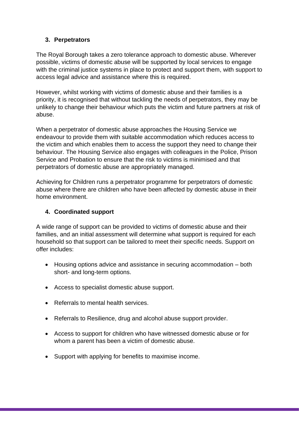#### **3. Perpetrators**

The Royal Borough takes a zero tolerance approach to domestic abuse. Wherever possible, victims of domestic abuse will be supported by local services to engage with the criminal justice systems in place to protect and support them, with support to access legal advice and assistance where this is required.

However, whilst working with victims of domestic abuse and their families is a priority, it is recognised that without tackling the needs of perpetrators, they may be unlikely to change their behaviour which puts the victim and future partners at risk of abuse.

When a perpetrator of domestic abuse approaches the Housing Service we endeavour to provide them with suitable accommodation which reduces access to the victim and which enables them to access the support they need to change their behaviour. The Housing Service also engages with colleagues in the Police, Prison Service and Probation to ensure that the risk to victims is minimised and that perpetrators of domestic abuse are appropriately managed.

Achieving for Children runs a perpetrator programme for perpetrators of domestic abuse where there are children who have been affected by domestic abuse in their home environment.

#### **4. Coordinated support**

A wide range of support can be provided to victims of domestic abuse and their families, and an initial assessment will determine what support is required for each household so that support can be tailored to meet their specific needs. Support on offer includes:

- Housing options advice and assistance in securing accommodation both short- and long-term options.
- Access to specialist domestic abuse support.
- Referrals to mental health services.
- Referrals to Resilience, drug and alcohol abuse support provider.
- Access to support for children who have witnessed domestic abuse or for whom a parent has been a victim of domestic abuse.
- Support with applying for benefits to maximise income.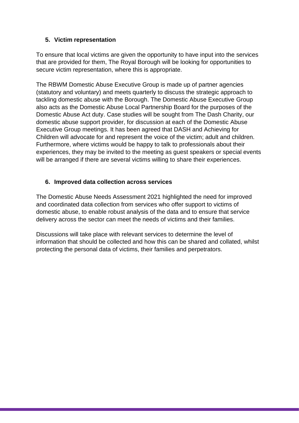#### **5. Victim representation**

To ensure that local victims are given the opportunity to have input into the services that are provided for them, The Royal Borough will be looking for opportunities to secure victim representation, where this is appropriate.

The RBWM Domestic Abuse Executive Group is made up of partner agencies (statutory and voluntary) and meets quarterly to discuss the strategic approach to tackling domestic abuse with the Borough. The Domestic Abuse Executive Group also acts as the Domestic Abuse Local Partnership Board for the purposes of the Domestic Abuse Act duty. Case studies will be sought from The Dash Charity, our domestic abuse support provider, for discussion at each of the Domestic Abuse Executive Group meetings. It has been agreed that DASH and Achieving for Children will advocate for and represent the voice of the victim; adult and children. Furthermore, where victims would be happy to talk to professionals about their experiences, they may be invited to the meeting as guest speakers or special events will be arranged if there are several victims willing to share their experiences.

#### **6. Improved data collection across services**

The Domestic Abuse Needs Assessment 2021 highlighted the need for improved and coordinated data collection from services who offer support to victims of domestic abuse, to enable robust analysis of the data and to ensure that service delivery across the sector can meet the needs of victims and their families.

Discussions will take place with relevant services to determine the level of information that should be collected and how this can be shared and collated, whilst protecting the personal data of victims, their families and perpetrators.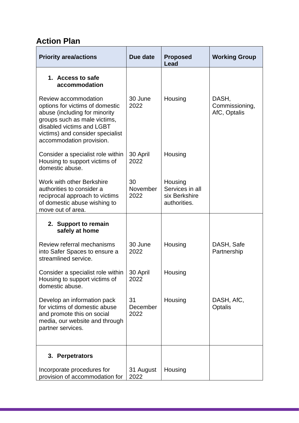# <span id="page-19-0"></span>**Action Plan**

| <b>Priority area/actions</b>                                                                                                                                                                                          | Due date               | <b>Proposed</b><br>Lead                                     | <b>Working Group</b>                    |
|-----------------------------------------------------------------------------------------------------------------------------------------------------------------------------------------------------------------------|------------------------|-------------------------------------------------------------|-----------------------------------------|
| 1. Access to safe<br>accommodation                                                                                                                                                                                    |                        |                                                             |                                         |
| Review accommodation<br>options for victims of domestic<br>abuse (including for minority<br>groups such as male victims,<br>disabled victims and LGBT<br>victims) and consider specialist<br>accommodation provision. | 30 June<br>2022        | Housing                                                     | DASH,<br>Commissioning,<br>AfC, Optalis |
| Consider a specialist role within<br>Housing to support victims of<br>domestic abuse.                                                                                                                                 | 30 April<br>2022       | Housing                                                     |                                         |
| Work with other Berkshire<br>authorities to consider a<br>reciprocal approach to victims<br>of domestic abuse wishing to<br>move out of area.                                                                         | 30<br>November<br>2022 | Housing<br>Services in all<br>six Berkshire<br>authorities. |                                         |
| 2. Support to remain<br>safely at home                                                                                                                                                                                |                        |                                                             |                                         |
| Review referral mechanisms<br>into Safer Spaces to ensure a<br>streamlined service.                                                                                                                                   | 30 June<br>2022        | Housing                                                     | DASH, Safe<br>Partnership               |
| Consider a specialist role within $\vert$ 30 April<br>Housing to support victims of<br>domestic abuse.                                                                                                                | 2022                   | Housing                                                     |                                         |
| Develop an information pack<br>for victims of domestic abuse<br>and promote this on social<br>media, our website and through<br>partner services.                                                                     | 31<br>December<br>2022 | Housing                                                     | DASH, AfC,<br>Optalis                   |
| 3. Perpetrators                                                                                                                                                                                                       |                        |                                                             |                                         |
| Incorporate procedures for<br>provision of accommodation for                                                                                                                                                          | 31 August<br>2022      | Housing                                                     |                                         |

,我们也不会有什么。""我们的人,我们也不会有什么?""我们的人,我们也不会有什么?""我们的人,我们也不会有什么?""我们的人,我们也不会有什么?""我们的人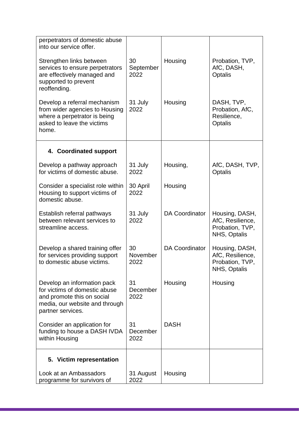| perpetrators of domestic abuse<br>into our service offer.                                                                                         |                         |                       |                                                                       |
|---------------------------------------------------------------------------------------------------------------------------------------------------|-------------------------|-----------------------|-----------------------------------------------------------------------|
| Strengthen links between<br>services to ensure perpetrators<br>are effectively managed and<br>supported to prevent<br>reoffending.                | 30<br>September<br>2022 | Housing               | Probation, TVP,<br>AfC, DASH,<br>Optalis                              |
| Develop a referral mechanism<br>from wider agencies to Housing<br>where a perpetrator is being<br>asked to leave the victims<br>home.             | 31 July<br>2022         | Housing               | DASH, TVP,<br>Probation, AfC,<br>Resilience,<br>Optalis               |
| 4. Coordinated support                                                                                                                            |                         |                       |                                                                       |
| Develop a pathway approach<br>for victims of domestic abuse.                                                                                      | 31 July<br>2022         | Housing,              | AfC, DASH, TVP,<br>Optalis                                            |
| Consider a specialist role within<br>Housing to support victims of<br>domestic abuse.                                                             | 30 April<br>2022        | Housing               |                                                                       |
| Establish referral pathways<br>between relevant services to<br>streamline access.                                                                 | 31 July<br>2022         | <b>DA Coordinator</b> | Housing, DASH,<br>AfC, Resilience,<br>Probation, TVP,<br>NHS, Optalis |
| Develop a shared training offer<br>for services providing support<br>to domestic abuse victims.                                                   | 30<br>November<br>2022  | <b>DA Coordinator</b> | Housing, DASH,<br>AfC, Resilience,<br>Probation, TVP,<br>NHS, Optalis |
| Develop an information pack<br>for victims of domestic abuse<br>and promote this on social<br>media, our website and through<br>partner services. | 31<br>December<br>2022  | Housing               | Housing                                                               |
| Consider an application for<br>funding to house a DASH IVDA<br>within Housing                                                                     | 31<br>December<br>2022  | <b>DASH</b>           |                                                                       |
| 5. Victim representation                                                                                                                          |                         |                       |                                                                       |
| Look at an Ambassadors<br>programme for survivors of                                                                                              | 31 August<br>2022       | Housing               |                                                                       |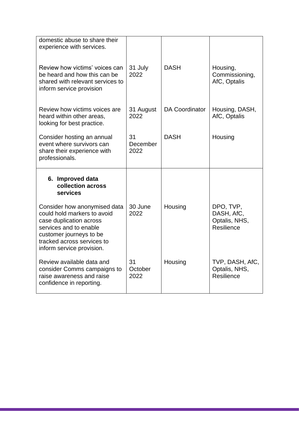| domestic abuse to share their<br>experience with services.                                                                                                                                             |                        |                       |                                                        |
|--------------------------------------------------------------------------------------------------------------------------------------------------------------------------------------------------------|------------------------|-----------------------|--------------------------------------------------------|
| Review how victims' voices can<br>be heard and how this can be<br>shared with relevant services to<br>inform service provision                                                                         | 31 July<br>2022        | <b>DASH</b>           | Housing,<br>Commissioning,<br>AfC, Optalis             |
| Review how victims voices are<br>heard within other areas,<br>looking for best practice.                                                                                                               | 31 August<br>2022      | <b>DA Coordinator</b> | Housing, DASH,<br>AfC, Optalis                         |
| Consider hosting an annual<br>event where survivors can<br>share their experience with<br>professionals.                                                                                               | 31<br>December<br>2022 | <b>DASH</b>           | Housing                                                |
| 6. Improved data<br>collection across<br>services                                                                                                                                                      |                        |                       |                                                        |
| Consider how anonymised data<br>could hold markers to avoid<br>case duplication across<br>services and to enable<br>customer journeys to be<br>tracked across services to<br>inform service provision. | 30 June<br>2022        | Housing               | DPO, TVP,<br>DASH, AfC,<br>Optalis, NHS,<br>Resilience |
| Review available data and<br>consider Comms campaigns to<br>raise awareness and raise<br>confidence in reporting.                                                                                      | 31<br>October<br>2022  | Housing               | TVP, DASH, AfC,<br>Optalis, NHS,<br>Resilience         |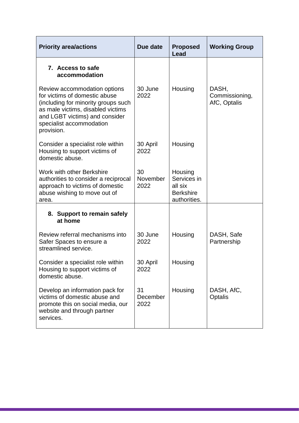| <b>Priority area/actions</b>                                                                                                                                                                                          | Due date               | <b>Proposed</b><br>Lead                                               | <b>Working Group</b>                    |
|-----------------------------------------------------------------------------------------------------------------------------------------------------------------------------------------------------------------------|------------------------|-----------------------------------------------------------------------|-----------------------------------------|
| 7. Access to safe<br>accommodation                                                                                                                                                                                    |                        |                                                                       |                                         |
| Review accommodation options<br>for victims of domestic abuse<br>(including for minority groups such<br>as male victims, disabled victims<br>and LGBT victims) and consider<br>specialist accommodation<br>provision. | 30 June<br>2022        | Housing                                                               | DASH,<br>Commissioning,<br>AfC, Optalis |
| Consider a specialist role within<br>Housing to support victims of<br>domestic abuse.                                                                                                                                 | 30 April<br>2022       | Housing                                                               |                                         |
| Work with other Berkshire<br>authorities to consider a reciprocal<br>approach to victims of domestic<br>abuse wishing to move out of<br>area.                                                                         | 30<br>November<br>2022 | Housing<br>Services in<br>all six<br><b>Berkshire</b><br>authorities. |                                         |
| 8. Support to remain safely<br>at home                                                                                                                                                                                |                        |                                                                       |                                         |
| Review referral mechanisms into<br>Safer Spaces to ensure a<br>streamlined service.                                                                                                                                   | 30 June<br>2022        | Housing                                                               | DASH, Safe<br>Partnership               |
| Consider a specialist role within<br>Housing to support victims of<br>domestic abuse.                                                                                                                                 | 30 April<br>2022       | Housing                                                               |                                         |
| Develop an information pack for<br>victims of domestic abuse and<br>promote this on social media, our<br>website and through partner<br>services.                                                                     | 31<br>December<br>2022 | Housing                                                               | DASH, AfC,<br>Optalis                   |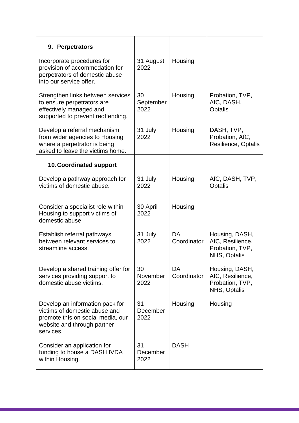| 9. Perpetrators                                                                                                                                   |                         |                   |                                                                       |
|---------------------------------------------------------------------------------------------------------------------------------------------------|-------------------------|-------------------|-----------------------------------------------------------------------|
| Incorporate procedures for<br>provision of accommodation for<br>perpetrators of domestic abuse<br>into our service offer.                         | 31 August<br>2022       | Housing           |                                                                       |
| Strengthen links between services<br>to ensure perpetrators are<br>effectively managed and<br>supported to prevent reoffending.                   | 30<br>September<br>2022 | Housing           | Probation, TVP,<br>AfC, DASH,<br>Optalis                              |
| Develop a referral mechanism<br>from wider agencies to Housing<br>where a perpetrator is being<br>asked to leave the victims home.                | 31 July<br>2022         | Housing           | DASH, TVP,<br>Probation, AfC,<br>Resilience, Optalis                  |
| <b>10. Coordinated support</b>                                                                                                                    |                         |                   |                                                                       |
| Develop a pathway approach for<br>victims of domestic abuse.                                                                                      | 31 July<br>2022         | Housing,          | AfC, DASH, TVP,<br>Optalis                                            |
| Consider a specialist role within<br>Housing to support victims of<br>domestic abuse.                                                             | 30 April<br>2022        | Housing           |                                                                       |
| Establish referral pathways<br>between relevant services to<br>streamline access.                                                                 | 31 July<br>2022         | DA<br>Coordinator | Housing, DASH,<br>AfC, Resilience,<br>Probation, TVP,<br>NHS, Optalis |
| Develop a shared training offer for<br>services providing support to<br>domestic abuse victims.                                                   | 30<br>November<br>2022  | DA<br>Coordinator | Housing, DASH,<br>AfC, Resilience,<br>Probation, TVP,<br>NHS, Optalis |
| Develop an information pack for<br>victims of domestic abuse and<br>promote this on social media, our<br>website and through partner<br>services. | 31<br>December<br>2022  | Housing           | Housing                                                               |
| Consider an application for<br>funding to house a DASH IVDA<br>within Housing.                                                                    | 31<br>December<br>2022  | <b>DASH</b>       |                                                                       |